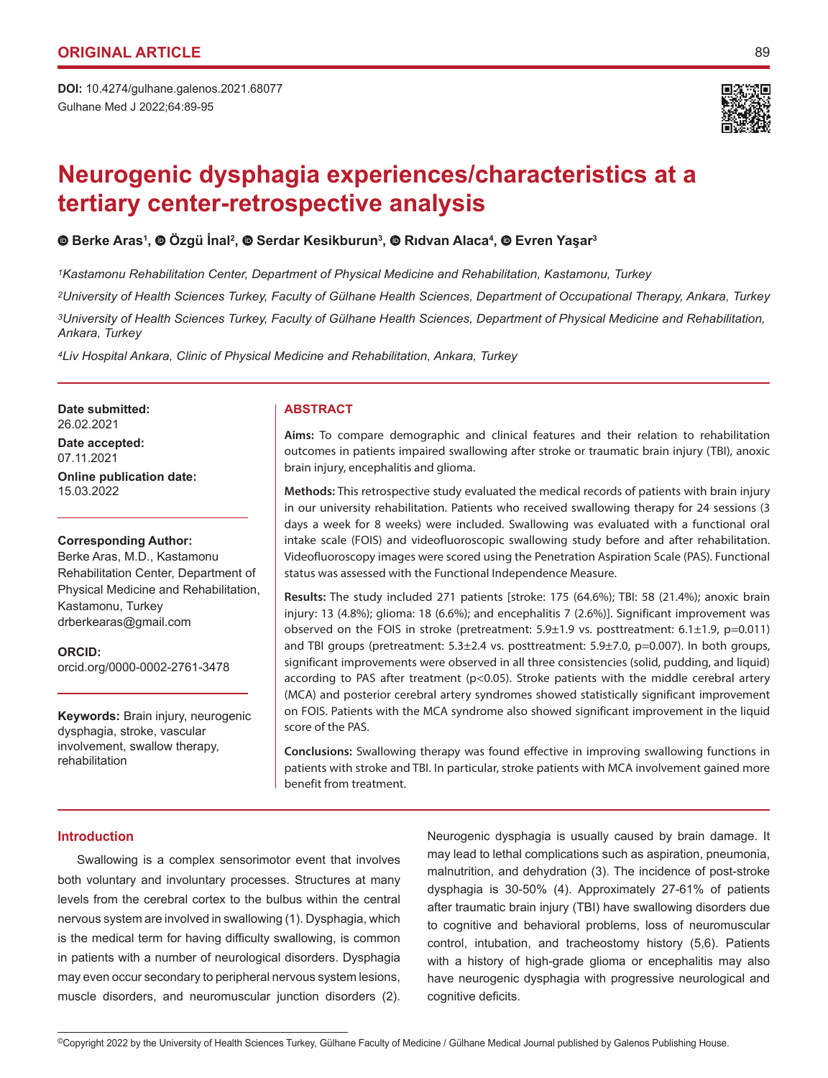Gulhane Med J 2022;64:89-95 **DOI:** 10.4274/gulhane.galenos.2021.68077



# **Neurogenic dysphagia experiences/characteristics at a tertiary center-retrospective analysis**

# **Berke Aras1 ,Özgü İnal<sup>2</sup> ,Serdar Kesikburun3 ,Rıdvan Alaca<sup>4</sup> , Evren Yaşar<sup>3</sup>**

*1Kastamonu Rehabilitation Center, Department of Physical Medicine and Rehabilitation, Kastamonu, Turkey*

*2University of Health Sciences Turkey, Faculty of Gülhane Health Sciences, Department of Occupational Therapy, Ankara, Turkey 3University of Health Sciences Turkey, Faculty of Gülhane Health Sciences, Department of Physical Medicine and Rehabilitation, Ankara, Turkey*

*4Liv Hospital Ankara, Clinic of Physical Medicine and Rehabilitation, Ankara, Turkey*

**Date submitted: ABSTRACT** 26.02.2021 **Date accepted:**

07.11.2021

**Online publication date:** 15.03.2022

# **Corresponding Author:**

Berke Aras, M.D., Kastamonu Rehabilitation Center, Department of Physical Medicine and Rehabilitation, Kastamonu, Turkey drberkearas@gmail.com

**ORCID:**  orcid.org/0000-0002-2761-3478

**Keywords:** Brain injury, neurogenic dysphagia, stroke, vascular involvement, swallow therapy, rehabilitation

**Aims:** To compare demographic and clinical features and their relation to rehabilitation outcomes in patients impaired swallowing after stroke or traumatic brain injury (TBI), anoxic brain injury, encephalitis and glioma.

**Methods:** This retrospective study evaluated the medical records of patients with brain injury in our university rehabilitation. Patients who received swallowing therapy for 24 sessions (3 days a week for 8 weeks) were included. Swallowing was evaluated with a functional oral intake scale (FOIS) and videofluoroscopic swallowing study before and after rehabilitation. Videofluoroscopy images were scored using the Penetration Aspiration Scale (PAS). Functional status was assessed with the Functional Independence Measure.

**Results:** The study included 271 patients [stroke: 175 (64.6%); TBI: 58 (21.4%); anoxic brain injury: 13 (4.8%); glioma: 18 (6.6%); and encephalitis 7 (2.6%)]. Significant improvement was observed on the FOIS in stroke (pretreatment:  $5.9\pm1.9$  vs. posttreatment:  $6.1\pm1.9$ , p=0.011) and TBI groups (pretreatment: 5.3±2.4 vs. posttreatment: 5.9±7.0, p=0.007). In both groups, significant improvements were observed in all three consistencies (solid, pudding, and liquid) according to PAS after treatment (p<0.05). Stroke patients with the middle cerebral artery (MCA) and posterior cerebral artery syndromes showed statistically significant improvement on FOIS. Patients with the MCA syndrome also showed significant improvement in the liquid score of the PAS.

**Conclusions:** Swallowing therapy was found effective in improving swallowing functions in patients with stroke and TBI. In particular, stroke patients with MCA involvement gained more benefit from treatment.

# **Introduction**

Swallowing is a complex sensorimotor event that involves both voluntary and involuntary processes. Structures at many levels from the cerebral cortex to the bulbus within the central nervous system are involved in swallowing (1). Dysphagia, which is the medical term for having difficulty swallowing, is common in patients with a number of neurological disorders. Dysphagia may even occur secondary to peripheral nervous system lesions, muscle disorders, and neuromuscular junction disorders (2).

Neurogenic dysphagia is usually caused by brain damage. It may lead to lethal complications such as aspiration, pneumonia, malnutrition, and dehydration (3). The incidence of post-stroke dysphagia is 30-50% (4). Approximately 27-61% of patients after traumatic brain injury (TBI) have swallowing disorders due to cognitive and behavioral problems, loss of neuromuscular control, intubation, and tracheostomy history (5,6). Patients with a history of high-grade glioma or encephalitis may also have neurogenic dysphagia with progressive neurological and cognitive deficits.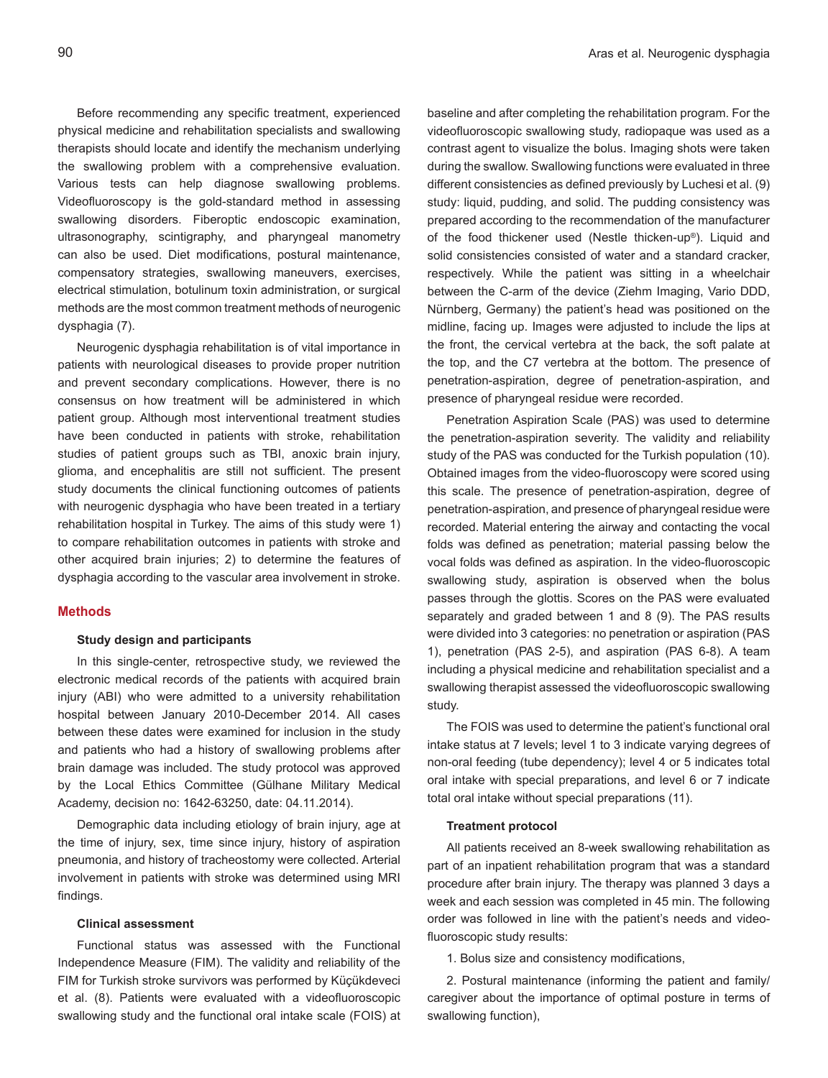Before recommending any specific treatment, experienced physical medicine and rehabilitation specialists and swallowing therapists should locate and identify the mechanism underlying the swallowing problem with a comprehensive evaluation. Various tests can help diagnose swallowing problems. Videofluoroscopy is the gold-standard method in assessing swallowing disorders. Fiberoptic endoscopic examination, ultrasonography, scintigraphy, and pharyngeal manometry can also be used. Diet modifications, postural maintenance, compensatory strategies, swallowing maneuvers, exercises, electrical stimulation, botulinum toxin administration, or surgical methods are the most common treatment methods of neurogenic dysphagia (7).

Neurogenic dysphagia rehabilitation is of vital importance in patients with neurological diseases to provide proper nutrition and prevent secondary complications. However, there is no consensus on how treatment will be administered in which patient group. Although most interventional treatment studies have been conducted in patients with stroke, rehabilitation studies of patient groups such as TBI, anoxic brain injury, glioma, and encephalitis are still not sufficient. The present study documents the clinical functioning outcomes of patients with neurogenic dysphagia who have been treated in a tertiary rehabilitation hospital in Turkey. The aims of this study were 1) to compare rehabilitation outcomes in patients with stroke and other acquired brain injuries; 2) to determine the features of dysphagia according to the vascular area involvement in stroke.

# **Methods**

#### **Study design and participants**

In this single-center, retrospective study, we reviewed the electronic medical records of the patients with acquired brain injury (ABI) who were admitted to a university rehabilitation hospital between January 2010-December 2014. All cases between these dates were examined for inclusion in the study and patients who had a history of swallowing problems after brain damage was included. The study protocol was approved by the Local Ethics Committee (Gülhane Military Medical Academy, decision no: 1642-63250, date: 04.11.2014).

Demographic data including etiology of brain injury, age at the time of injury, sex, time since injury, history of aspiration pneumonia, and history of tracheostomy were collected. Arterial involvement in patients with stroke was determined using MRI findings.

#### **Clinical assessment**

Functional status was assessed with the Functional Independence Measure (FIM). The validity and reliability of the FIM for Turkish stroke survivors was performed by Küçükdeveci et al. (8). Patients were evaluated with a videofluoroscopic swallowing study and the functional oral intake scale (FOIS) at baseline and after completing the rehabilitation program. For the videofluoroscopic swallowing study, radiopaque was used as a contrast agent to visualize the bolus. Imaging shots were taken during the swallow. Swallowing functions were evaluated in three different consistencies as defined previously by Luchesi et al. (9) study: liquid, pudding, and solid. The pudding consistency was prepared according to the recommendation of the manufacturer of the food thickener used (Nestle thicken-up®). Liquid and solid consistencies consisted of water and a standard cracker, respectively. While the patient was sitting in a wheelchair between the C-arm of the device (Ziehm Imaging, Vario DDD, Nürnberg, Germany) the patient's head was positioned on the midline, facing up. Images were adjusted to include the lips at the front, the cervical vertebra at the back, the soft palate at the top, and the C7 vertebra at the bottom. The presence of penetration-aspiration, degree of penetration-aspiration, and presence of pharyngeal residue were recorded.

Penetration Aspiration Scale (PAS) was used to determine the penetration-aspiration severity. The validity and reliability study of the PAS was conducted for the Turkish population (10). Obtained images from the video-fluoroscopy were scored using this scale. The presence of penetration-aspiration, degree of penetration-aspiration, and presence of pharyngeal residue were recorded. Material entering the airway and contacting the vocal folds was defined as penetration; material passing below the vocal folds was defined as aspiration. In the video-fluoroscopic swallowing study, aspiration is observed when the bolus passes through the glottis. Scores on the PAS were evaluated separately and graded between 1 and 8 (9). The PAS results were divided into 3 categories: no penetration or aspiration (PAS 1), penetration (PAS 2-5), and aspiration (PAS 6-8). A team including a physical medicine and rehabilitation specialist and a swallowing therapist assessed the videofluoroscopic swallowing study.

The FOIS was used to determine the patient's functional oral intake status at 7 levels; level 1 to 3 indicate varying degrees of non-oral feeding (tube dependency); level 4 or 5 indicates total oral intake with special preparations, and level 6 or 7 indicate total oral intake without special preparations (11).

## **Treatment protocol**

All patients received an 8-week swallowing rehabilitation as part of an inpatient rehabilitation program that was a standard procedure after brain injury. The therapy was planned 3 days a week and each session was completed in 45 min. The following order was followed in line with the patient's needs and videofluoroscopic study results:

1. Bolus size and consistency modifications,

2. Postural maintenance (informing the patient and family/ caregiver about the importance of optimal posture in terms of swallowing function),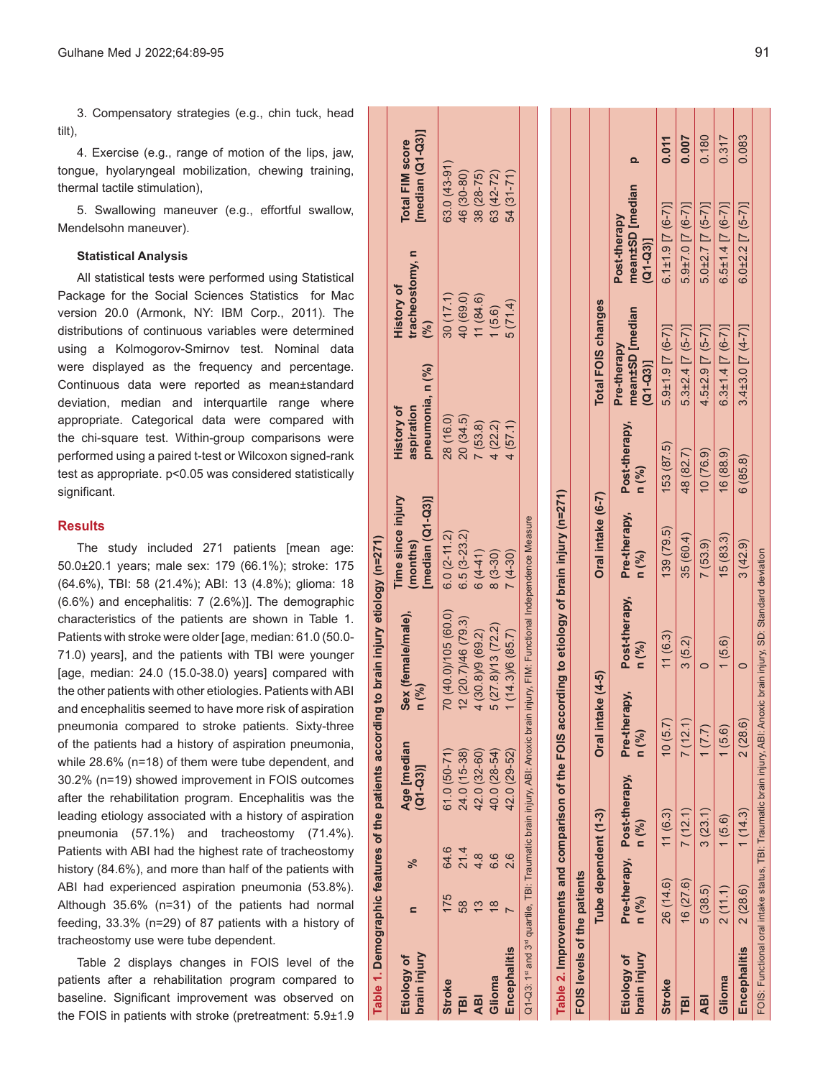3. Compensatory strategies (e.g., chin tuck, head tilt),

4. Exercise (e.g., range of motion of the lips, jaw, tongue, hyolaryngeal mobilization, chewing training, thermal tactile stimulation),

5. Swallowing maneuver (e.g., effortful swallow, Mendelsohn maneuver).

### **Statistical Analysis**

All statistical tests were performed using Statistical Package for the Social Sciences Statistics for Mac version 20.0 (Armonk, NY: IBM Corp., 2011). The distributions of continuous variables were determined using a Kolmogorov-Smirnov test. Nominal data were displayed as the frequency and percentage. Continuous data were reported as mean±standard deviation, median and interquartile range where appropriate. Categorical data were compared with the chi-square test. Within-group comparisons were performed using a paired t-test or Wilcoxon signed-rank test as appropriate. p<0.05 was considered statistically significant.

# **Results**

The study included 271 patients [mean age: 50.0±20.1 years; male sex: 179 (66.1%); stroke: 175 (64.6%), TBI: 58 (21.4%); ABI: 13 (4.8%); glioma: 18 (6.6%) and encephalitis: 7 (2.6%)]. The demographic characteristics of the patients are shown in Table 1. Patients with stroke were older [age, median: 61.0 (50.0- 71.0) years], and the patients with TBI were younger [age, median: 24.0 (15.0-38.0) years] compared with the other patients with other etiologies. Patients with ABI and encephalitis seemed to have more risk of aspiration pneumonia compared to stroke patients. Sixty-three of the patients had a history of aspiration pneumonia, while 28.6% (n=18) of them were tube dependent, and 30.2% (n=19) showed improvement in FOIS outcomes after the rehabilitation program. Encephalitis was the leading etiology associated with a history of aspiration pneumonia (57.1%) and tracheostomy (71.4%). Patients with ABI had the highest rate of tracheostomy history (84.6%), and more than half of the patients with ABI had experienced aspiration pneumonia (53.8%). Although 35.6% (n=31) of the patients had normal feeding, 33.3% (n=29) of 87 patients with a history of tracheostomy use were tube dependent.

**Table 1. Demographic features of the patients according to brain injury etiology (n=271)**

the p  $\mathbf{b}$ 

Demographic features

Table 1.

patients according

 $\mathbf{c}$ 

brain injury etiology (n=271)

Table 2 displays changes in FOIS level of the patients after a rehabilitation program compared to baseline. Significant improvement was observed on the FOIS in patients with stroke (pretreatment: 5.9±1.9

| brain injury<br>Etiology of                                                                                        | $\mathbf{r}$          | ಸಿ                     | Age [median<br>(Q1-Q3)] | $n$ $\binom{9}{0}$  | Sex (female/male),     | Time since injury<br>[median (Q1-Q3)]<br>(months)                                              | <b>History of</b><br>aspiration | pneumonia, n (%)                           | tracheostomy, n<br><b>History of</b><br>(%) |                                             | [median (Q1-Q3)]<br><b>Total FIM score</b> |       |
|--------------------------------------------------------------------------------------------------------------------|-----------------------|------------------------|-------------------------|---------------------|------------------------|------------------------------------------------------------------------------------------------|---------------------------------|--------------------------------------------|---------------------------------------------|---------------------------------------------|--------------------------------------------|-------|
| <b>Stroke</b>                                                                                                      | 175                   | 64.6                   | $61.0(50-71)$           |                     | 70 (40.0)/105 (60.0)   | $6.0(2-11.2)$                                                                                  | 28 (16.0)                       |                                            | 30(17.1)                                    |                                             | 63.0 (43-91)                               |       |
| <b>TBI</b>                                                                                                         | 58                    | 21.4                   | 24.0 (15-38)            |                     | 12 (20.7)/46 (79.3)    | $6.5(3-23.2)$                                                                                  | 20(34.5)                        |                                            | 40 (69.0)                                   |                                             | 46 (30-80)                                 |       |
| <b>ABI</b>                                                                                                         | 13                    | 4.8                    | 42.0 (32-60)            | 4 (30.8)/9 (69.2)   |                        | $6(4-41)$                                                                                      | 7(53.8)                         |                                            | 11(84.6)                                    |                                             | 38 (28-75)                                 |       |
| Glioma                                                                                                             | $\frac{8}{1}$         | 6.6                    | 40.0 (28-54)            | 5 (27.8)/13 (72.2)  |                        | $8(3-30)$                                                                                      | 4(22.2)                         |                                            | (5.6)                                       |                                             | 63 (42-72)                                 |       |
| Encephalitis                                                                                                       |                       | 2.6                    | 42.0 (29-52)            | $1(14.3)$ /6 (85.7) |                        | $7(4-30)$                                                                                      | 4(57.1)                         |                                            | 5(71.4)                                     |                                             | 54 (31-71)                                 |       |
| Q1-Q3: 1st and 3rd quartile, TBI: Traumatic brain injury, ABI: Anoxic brain                                        |                       |                        |                         |                     |                        | injury, FIM: Functional Independence Measure                                                   |                                 |                                            |                                             |                                             |                                            |       |
|                                                                                                                    |                       |                        |                         |                     |                        | Table 2. Improvements and comparison of the FOIS according to etiology of brain injury (n=271) |                                 |                                            |                                             |                                             |                                            |       |
| FOIS levels of the patients                                                                                        |                       |                        |                         |                     |                        |                                                                                                |                                 |                                            |                                             |                                             |                                            |       |
|                                                                                                                    | Tube dependent (1-3)  |                        |                         | Oral intake (4-5)   |                        | Oral intake (6-7)                                                                              |                                 | <b>Total FOIS changes</b>                  |                                             |                                             |                                            |       |
| brain injury<br>Etiology of                                                                                        | Pre-therapy,<br>n (%) | Post-therapy,<br>n (%) | Pre-therapy,<br>n (%)   |                     | Post-therapy,<br>n (%) | Pre-therapy,<br>n (%)                                                                          | Post-therapy,<br>n (%)          | mean±SD [median<br>Pre-therapy<br>(Q1-Q3)] |                                             | mean±SD [median<br>Post-therapy<br>(Q1-Q3)] | $\Omega$                                   |       |
| <b>Stroke</b>                                                                                                      | 26 (14.6)             | 11(6.3)                | 10(5.7)                 |                     | 11(6.3)                | 139 (79.5)                                                                                     | 153 (87.5)                      | $5.9 \pm 1.9$ [7 $(6-7)$ ]                 |                                             | $6.1 \pm 1.9$ [7 $(6 - 7)$ ]                |                                            | 0.011 |
| 直                                                                                                                  | 16(27.6)              | 7(12.1)                | 7(12.1)                 |                     | 3(5.2)                 | 35 (60.4)                                                                                      | 48 (82.7)                       | $5.3\pm2.4$ [7 $(5-7)$ ]                   |                                             | $5.9 \pm 7.0$ [7 $(6-7)$ ]                  |                                            | 0.007 |
| Дā                                                                                                                 | 5(38.5)               | 3(23.1)                | (7.7)                   |                     | $\circ$                | 7(53.9)                                                                                        | 10(76.9)                        | $4.5 \pm 2.9$ [7 $(5 - 7)$ ]               |                                             | $5.0 \pm 2.7$ [7 $(5 - 7)$ ]                |                                            | 0.180 |
| Glioma                                                                                                             | 2(11.1)               | (5.6)                  | (5.6)                   |                     | (5.6)                  | 15(83.3)                                                                                       | 16(88.9)                        | $6.3 \pm 1.4$ [7 $(6-7)$ ]                 |                                             | $6.5 \pm 1.4$ [7 $(6-7)$ ]                  |                                            | 0.317 |
| Encephalitis                                                                                                       | 2(28.6)               | 1(14.3)                | 2(28.6)                 |                     | C                      | 3(42.9)                                                                                        | 6(85.8)                         | $3.4\pm3.0$ [7 (4-7)]                      |                                             | $6.0 + 2.2$ [7 $(5 - 7)$ ]                  |                                            | 0.083 |
| FOIS: Functional oral intake status, TBI: Traumatic brain injury, ABI: Anoxic brain injury, SD: Standard deviation |                       |                        |                         |                     |                        |                                                                                                |                                 |                                            |                                             |                                             |                                            |       |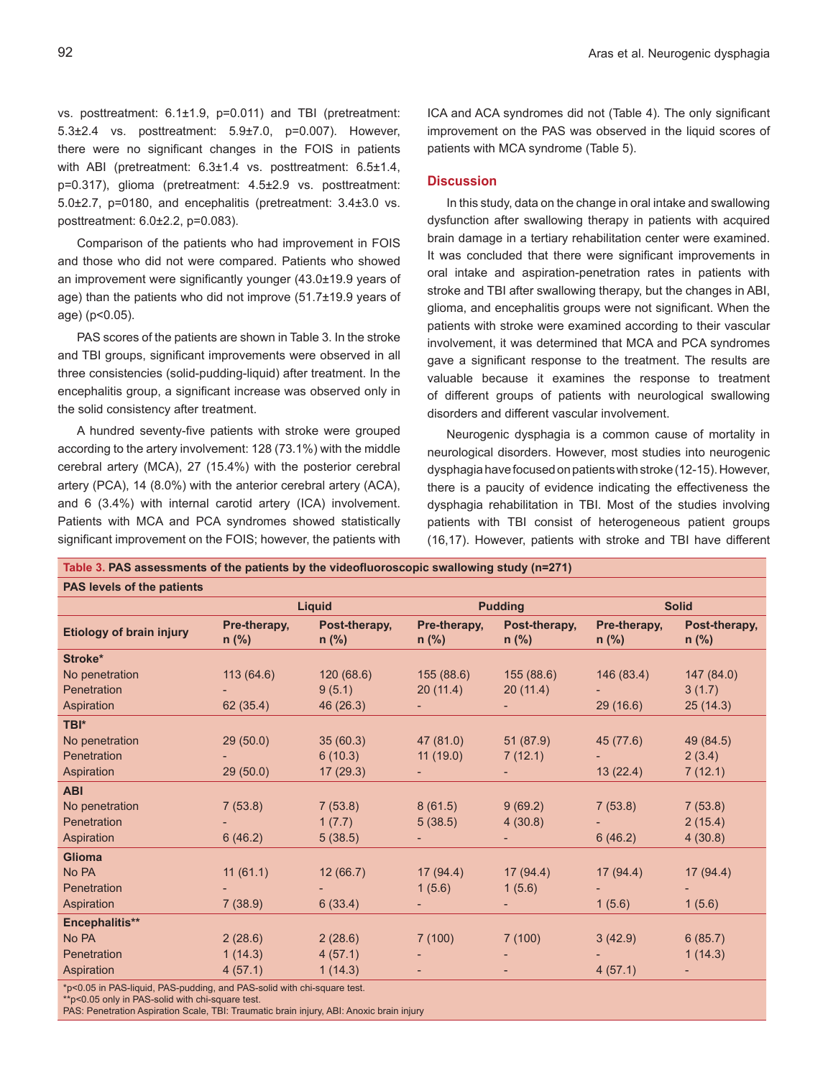vs. posttreatment: 6.1±1.9, p=0.011) and TBI (pretreatment: 5.3±2.4 vs. posttreatment: 5.9±7.0, p=0.007). However, there were no significant changes in the FOIS in patients with ABI (pretreatment: 6.3±1.4 vs. posttreatment: 6.5±1.4, p=0.317), glioma (pretreatment: 4.5±2.9 vs. posttreatment: 5.0±2.7, p=0180, and encephalitis (pretreatment: 3.4±3.0 vs. posttreatment: 6.0±2.2, p=0.083).

Comparison of the patients who had improvement in FOIS and those who did not were compared. Patients who showed an improvement were significantly younger (43.0±19.9 years of age) than the patients who did not improve (51.7±19.9 years of age) (p<0.05).

PAS scores of the patients are shown in Table 3. In the stroke and TBI groups, significant improvements were observed in all three consistencies (solid-pudding-liquid) after treatment. In the encephalitis group, a significant increase was observed only in the solid consistency after treatment.

A hundred seventy-five patients with stroke were grouped according to the artery involvement: 128 (73.1%) with the middle cerebral artery (MCA), 27 (15.4%) with the posterior cerebral artery (PCA), 14 (8.0%) with the anterior cerebral artery (ACA), and 6 (3.4%) with internal carotid artery (ICA) involvement. Patients with MCA and PCA syndromes showed statistically significant improvement on the FOIS; however, the patients with

**Table 3. PAS assessments of the patients by the videofluoroscopic swallowing study (n=271)**

ICA and ACA syndromes did not (Table 4). The only significant improvement on the PAS was observed in the liquid scores of patients with MCA syndrome (Table 5).

### **Discussion**

In this study, data on the change in oral intake and swallowing dysfunction after swallowing therapy in patients with acquired brain damage in a tertiary rehabilitation center were examined. It was concluded that there were significant improvements in oral intake and aspiration-penetration rates in patients with stroke and TBI after swallowing therapy, but the changes in ABI, glioma, and encephalitis groups were not significant. When the patients with stroke were examined according to their vascular involvement, it was determined that MCA and PCA syndromes gave a significant response to the treatment. The results are valuable because it examines the response to treatment of different groups of patients with neurological swallowing disorders and different vascular involvement.

Neurogenic dysphagia is a common cause of mortality in neurological disorders. However, most studies into neurogenic dysphagia have focused on patients with stroke (12-15). However, there is a paucity of evidence indicating the effectiveness the dysphagia rehabilitation in TBI. Most of the studies involving patients with TBI consist of heterogeneous patient groups (16,17). However, patients with stroke and TBI have different

| PAS levels of the patients                                              |                                                   |           |                                                     |                |                         |                          |  |
|-------------------------------------------------------------------------|---------------------------------------------------|-----------|-----------------------------------------------------|----------------|-------------------------|--------------------------|--|
|                                                                         | Liquid                                            |           |                                                     | <b>Pudding</b> | <b>Solid</b>            |                          |  |
| <b>Etiology of brain injury</b>                                         | Post-therapy,<br>Pre-therapy,<br>n (%)<br>$n$ (%) |           | Pre-therapy,<br>Post-therapy,<br>$n$ (%)<br>$n$ (%) |                | Pre-therapy,<br>$n$ (%) | Post-therapy,<br>$n$ (%) |  |
| Stroke*                                                                 |                                                   |           |                                                     |                |                         |                          |  |
| No penetration                                                          | 113(64.6)                                         | 120(68.6) | 155(88.6)                                           | 155(88.6)      | 146 (83.4)              | 147(84.0)                |  |
| Penetration                                                             |                                                   | 9(5.1)    | 20(11.4)                                            | 20(11.4)       |                         | 3(1.7)                   |  |
| Aspiration                                                              | 62 (35.4)                                         | 46 (26.3) |                                                     |                | 29(16.6)                | 25(14.3)                 |  |
| TBI*                                                                    |                                                   |           |                                                     |                |                         |                          |  |
| No penetration                                                          | 29(50.0)                                          | 35(60.3)  | 47 (81.0)                                           | 51 (87.9)      | 45 (77.6)               | 49 (84.5)                |  |
| Penetration                                                             |                                                   | 6(10.3)   | 11(19.0)                                            | 7(12.1)        |                         | 2(3.4)                   |  |
| Aspiration                                                              | 29(50.0)                                          | 17(29.3)  |                                                     |                | 13(22.4)                | 7(12.1)                  |  |
| <b>ABI</b>                                                              |                                                   |           |                                                     |                |                         |                          |  |
| No penetration                                                          | 7(53.8)                                           | 7(53.8)   | 8(61.5)                                             | 9(69.2)        | 7(53.8)                 | 7(53.8)                  |  |
| Penetration                                                             |                                                   | 1(7.7)    | 5(38.5)                                             | 4(30.8)        |                         | 2(15.4)                  |  |
| Aspiration                                                              | 6(46.2)                                           | 5(38.5)   |                                                     |                | 6(46.2)                 | 4(30.8)                  |  |
| <b>Glioma</b>                                                           |                                                   |           |                                                     |                |                         |                          |  |
| No PA                                                                   | 11(61.1)                                          | 12(66.7)  | 17(94.4)                                            | 17(94.4)       | 17(94.4)                | 17(94.4)                 |  |
| Penetration                                                             |                                                   |           | 1(5.6)                                              | 1(5.6)         |                         |                          |  |
| Aspiration                                                              | 7(38.9)                                           | 6(33.4)   |                                                     |                | 1(5.6)                  | 1(5.6)                   |  |
| Encephalitis**                                                          |                                                   |           |                                                     |                |                         |                          |  |
| No PA                                                                   | 2(28.6)                                           | 2(28.6)   | 7(100)                                              | 7(100)         | 3(42.9)                 | 6(85.7)                  |  |
| Penetration                                                             | 1(14.3)                                           | 4(57.1)   |                                                     |                |                         | 1(14.3)                  |  |
| Aspiration                                                              | 4(57.1)                                           | 1(14.3)   |                                                     |                | 4(57.1)                 |                          |  |
| *p<0.05 in PAS-liquid, PAS-pudding, and PAS-solid with chi-square test. |                                                   |           |                                                     |                |                         |                          |  |

\*\*p<0.05 only in PAS-solid with chi-square test.

PAS: Penetration Aspiration Scale, TBI: Traumatic brain injury, ABI: Anoxic brain injury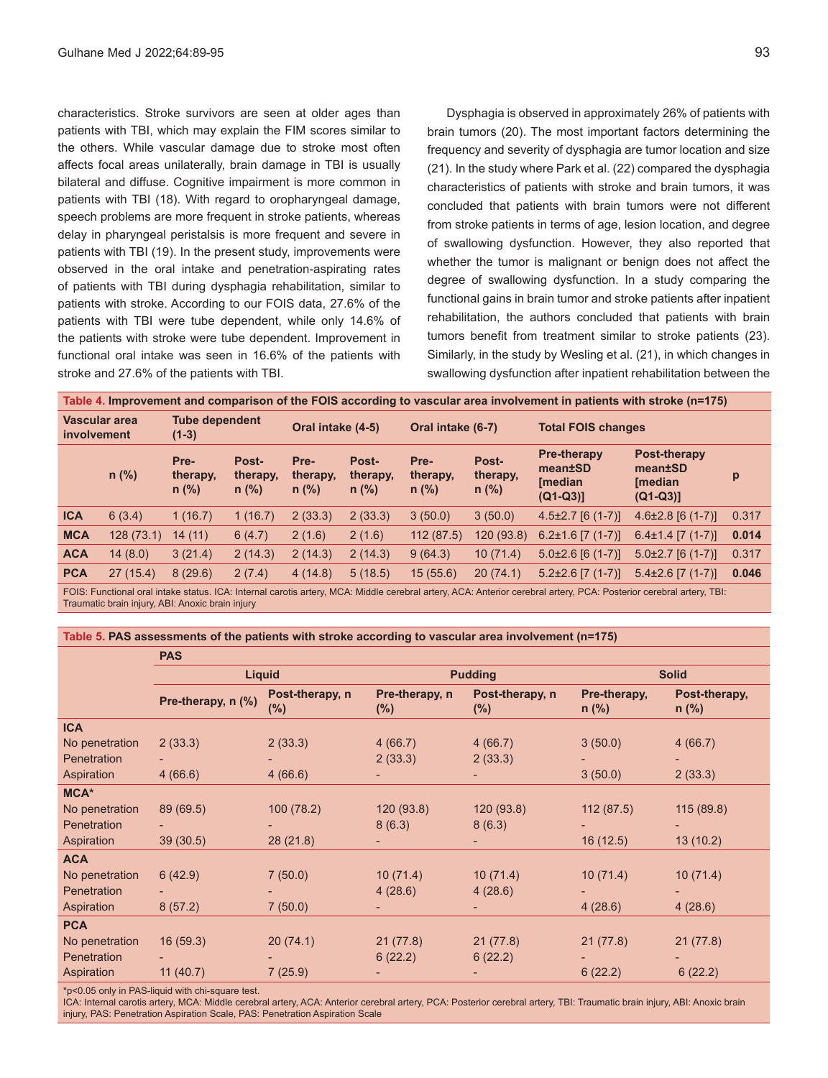characteristics. Stroke survivors are seen at older ages than patients with TBI, which may explain the FIM scores similar to the others. While vascular damage due to stroke most often affects focal areas unilaterally, brain damage in TBI is usually bilateral and diffuse. Cognitive impairment is more common in patients with TBI (18). With regard to oropharyngeal damage, speech problems are more frequent in stroke patients, whereas delay in pharyngeal peristalsis is more frequent and severe in patients with TBI (19). In the present study, improvements were observed in the oral intake and penetration-aspirating rates of patients with TBI during dysphagia rehabilitation, similar to patients with stroke. According to our FOIS data, 27.6% of the patients with TBI were tube dependent, while only 14.6% of the patients with stroke were tube dependent. Improvement in functional oral intake was seen in 16.6% of the patients with stroke and 27.6% of the patients with TBI.

Dysphagia is observed in approximately 26% of patients with brain tumors (20). The most important factors determining the frequency and severity of dysphagia are tumor location and size (21). In the study where Park et al. (22) compared the dysphagia characteristics of patients with stroke and brain tumors, it was concluded that patients with brain tumors were not different from stroke patients in terms of age, lesion location, and degree of swallowing dysfunction. However, they also reported that whether the tumor is malignant or benign does not affect the degree of swallowing dysfunction. In a study comparing the functional gains in brain tumor and stroke patients after inpatient rehabilitation, the authors concluded that patients with brain tumors benefit from treatment similar to stroke patients (23). Similarly, in the study by Wesling et al. (21), in which changes in swallowing dysfunction after inpatient rehabilitation between the

|                              |           |                                  |                              |                             |                              |                             |                              |                                                              | Table 4. Improvement and comparison of the FOIS according to vascular area involvement in patients with stroke (n=175) |       |
|------------------------------|-----------|----------------------------------|------------------------------|-----------------------------|------------------------------|-----------------------------|------------------------------|--------------------------------------------------------------|------------------------------------------------------------------------------------------------------------------------|-------|
| Vascular area<br>involvement |           | <b>Tube dependent</b><br>$(1-3)$ |                              | Oral intake (4-5)           |                              | Oral intake (6-7)           |                              | <b>Total FOIS changes</b>                                    |                                                                                                                        |       |
|                              | $n$ (%)   | Pre-<br>therapy,<br>$n$ (%)      | Post-<br>therapy.<br>$n$ (%) | Pre-<br>therapy,<br>$n$ (%) | Post-<br>therapy,<br>$n$ (%) | Pre-<br>therapy,<br>$n$ (%) | Post-<br>therapy,<br>$n$ (%) | <b>Pre-therapy</b><br>mean±SD<br><b>Imedian</b><br>$(Q1-Q3)$ | Post-therapy<br>mean±SD<br><b>Imedian</b><br>$(Q1-Q3)$                                                                 | p     |
| <b>ICA</b>                   | 6(3.4)    | 1(16.7)                          | 1(16.7)                      | 2(33.3)                     | 2(33.3)                      | 3(50.0)                     | 3(50.0)                      | $4.5\pm2.7$ [6 (1-7)]                                        | $4.6\pm2.8$ [6 (1-7)]                                                                                                  | 0.317 |
| <b>MCA</b>                   | 128(73.1) | 14(11)                           | 6(4.7)                       | 2(1.6)                      | 2(1.6)                       | 112(87.5)                   | 120(93.8)                    | $6.2\pm1.6$ [7 (1-7)]                                        | $6.4\pm1.4$ [7 (1-7)].                                                                                                 | 0.014 |
| <b>ACA</b>                   | 14(8.0)   | 3(21.4)                          | 2(14.3)                      | 2(14.3)                     | 2(14.3)                      | 9(64.3)                     | 10(71.4)                     | $5.0\pm2.6$ [6 (1-7)]                                        | $5.0\pm2.7$ [6 (1-7)]                                                                                                  | 0.317 |
| <b>PCA</b>                   | 27(15.4)  | 8(29.6)                          | 2(7.4)                       | 4(14.8)                     | 5(18.5)                      | 15(55.6)                    | 20(74.1)                     | $5.2\pm2.6$ [7 (1-7)]                                        | $5.4\pm2.6$ [7 (1-7)]                                                                                                  | 0.046 |
|                              |           |                                  |                              |                             |                              |                             |                              |                                                              |                                                                                                                        |       |

FOIS: Functional oral intake status. ICA: Internal carotis artery, MCA: Middle cerebral artery, ACA: Anterior cerebral artery, PCA: Posterior cerebral artery, TBI: Traumatic brain injury, ABI: Anoxic brain injury

#### **Table 5. PAS assessments of the patients with stroke according to vascular area involvement (n=175)**

|                | <b>PAS</b>         |                        |                          |                           |                         |                          |  |
|----------------|--------------------|------------------------|--------------------------|---------------------------|-------------------------|--------------------------|--|
|                |                    | <b>Liquid</b>          |                          | <b>Pudding</b>            | <b>Solid</b>            |                          |  |
|                | Pre-therapy, n (%) | Post-therapy, n<br>(%) | Pre-therapy, n<br>$(\%)$ | Post-therapy, n<br>$(\%)$ | Pre-therapy,<br>$n$ (%) | Post-therapy,<br>$n$ (%) |  |
| <b>ICA</b>     |                    |                        |                          |                           |                         |                          |  |
| No penetration | 2(33.3)            | 2(33.3)                | 4(66.7)                  | 4(66.7)                   | 3(50.0)                 | 4(66.7)                  |  |
| Penetration    |                    |                        | 2(33.3)                  | 2(33.3)                   |                         |                          |  |
| Aspiration     | 4(66.6)            | 4(66.6)                |                          |                           | 3(50.0)                 | 2(33.3)                  |  |
| MCA*           |                    |                        |                          |                           |                         |                          |  |
| No penetration | 89 (69.5)          | 100(78.2)              | 120(93.8)                | 120(93.8)                 | 112(87.5)               | 115(89.8)                |  |
| Penetration    |                    |                        | 8(6.3)                   | 8(6.3)                    |                         |                          |  |
| Aspiration     | 39(30.5)           | 28(21.8)               | ۰.                       |                           | 16(12.5)                | 13(10.2)                 |  |
| <b>ACA</b>     |                    |                        |                          |                           |                         |                          |  |
| No penetration | 6(42.9)            | 7(50.0)                | 10(71.4)                 | 10(71.4)                  | 10(71.4)                | 10(71.4)                 |  |
| Penetration    |                    |                        | 4(28.6)                  | 4(28.6)                   |                         |                          |  |
| Aspiration     | 8(57.2)            | 7(50.0)                |                          |                           | 4(28.6)                 | 4(28.6)                  |  |
| <b>PCA</b>     |                    |                        |                          |                           |                         |                          |  |
| No penetration | 16(59.3)           | 20(74.1)               | 21(77.8)                 | 21(77.8)                  | 21(77.8)                | 21(77.8)                 |  |
| Penetration    |                    |                        | 6(22.2)                  | 6(22.2)                   |                         |                          |  |
| Aspiration     | 11(40.7)           | 7(25.9)                | ۰.                       | ٠                         | 6(22.2)                 | 6(22.2)                  |  |
|                |                    |                        |                          |                           |                         |                          |  |

\*p<0.05 only in PAS-liquid with chi-square test.

ICA: Internal carotis artery, MCA: Middle cerebral artery, ACA: Anterior cerebral artery, PCA: Posterior cerebral artery, TBI: Traumatic brain injury, ABI: Anoxic brain injury, PAS: Penetration Aspiration Scale, PAS: Penetration Aspiration Scale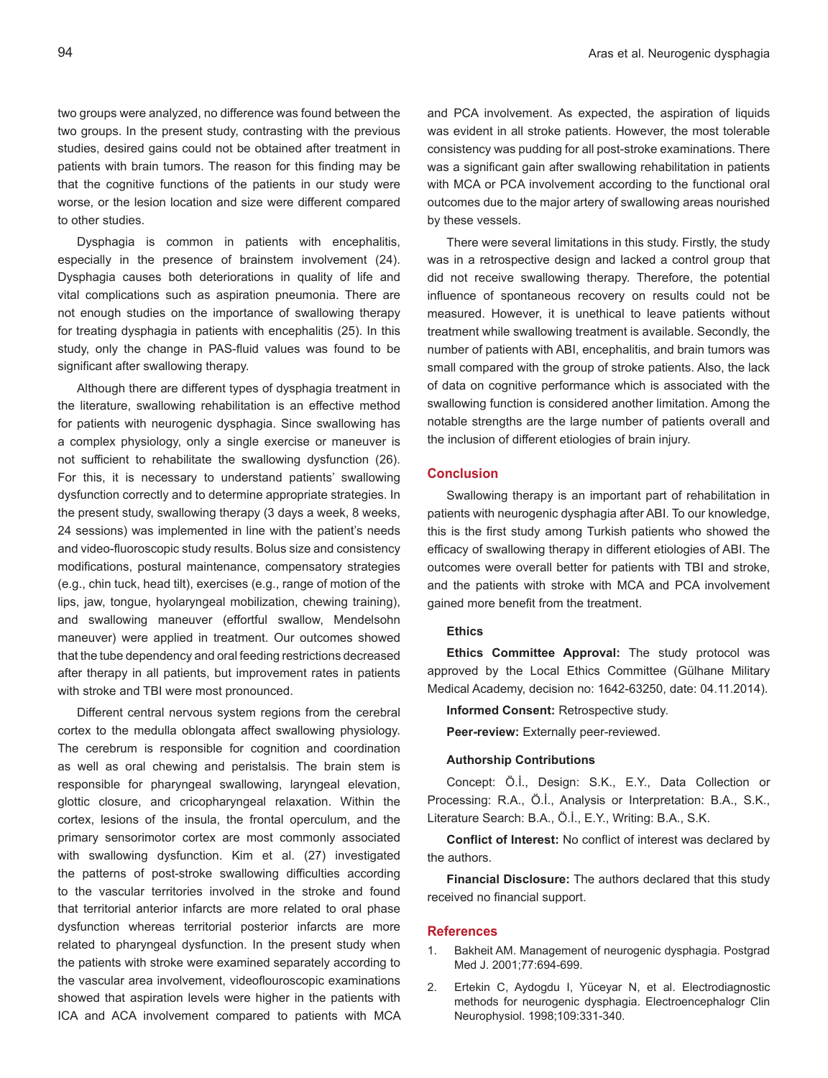two groups were analyzed, no difference was found between the two groups. In the present study, contrasting with the previous studies, desired gains could not be obtained after treatment in patients with brain tumors. The reason for this finding may be that the cognitive functions of the patients in our study were worse, or the lesion location and size were different compared to other studies.

Dysphagia is common in patients with encephalitis, especially in the presence of brainstem involvement (24). Dysphagia causes both deteriorations in quality of life and vital complications such as aspiration pneumonia. There are not enough studies on the importance of swallowing therapy for treating dysphagia in patients with encephalitis (25). In this study, only the change in PAS-fluid values was found to be significant after swallowing therapy.

Although there are different types of dysphagia treatment in the literature, swallowing rehabilitation is an effective method for patients with neurogenic dysphagia. Since swallowing has a complex physiology, only a single exercise or maneuver is not sufficient to rehabilitate the swallowing dysfunction (26). For this, it is necessary to understand patients' swallowing dysfunction correctly and to determine appropriate strategies. In the present study, swallowing therapy (3 days a week, 8 weeks, 24 sessions) was implemented in line with the patient's needs and video-fluoroscopic study results. Bolus size and consistency modifications, postural maintenance, compensatory strategies (e.g., chin tuck, head tilt), exercises (e.g., range of motion of the lips, jaw, tongue, hyolaryngeal mobilization, chewing training), and swallowing maneuver (effortful swallow, Mendelsohn maneuver) were applied in treatment. Our outcomes showed that the tube dependency and oral feeding restrictions decreased after therapy in all patients, but improvement rates in patients with stroke and TBI were most pronounced.

Different central nervous system regions from the cerebral cortex to the medulla oblongata affect swallowing physiology. The cerebrum is responsible for cognition and coordination as well as oral chewing and peristalsis. The brain stem is responsible for pharyngeal swallowing, laryngeal elevation, glottic closure, and cricopharyngeal relaxation. Within the cortex, lesions of the insula, the frontal operculum, and the primary sensorimotor cortex are most commonly associated with swallowing dysfunction. Kim et al. (27) investigated the patterns of post-stroke swallowing difficulties according to the vascular territories involved in the stroke and found that territorial anterior infarcts are more related to oral phase dysfunction whereas territorial posterior infarcts are more related to pharyngeal dysfunction. In the present study when the patients with stroke were examined separately according to the vascular area involvement, videoflouroscopic examinations showed that aspiration levels were higher in the patients with ICA and ACA involvement compared to patients with MCA and PCA involvement. As expected, the aspiration of liquids was evident in all stroke patients. However, the most tolerable consistency was pudding for all post-stroke examinations. There was a significant gain after swallowing rehabilitation in patients with MCA or PCA involvement according to the functional oral outcomes due to the major artery of swallowing areas nourished by these vessels.

There were several limitations in this study. Firstly, the study was in a retrospective design and lacked a control group that did not receive swallowing therapy. Therefore, the potential influence of spontaneous recovery on results could not be measured. However, it is unethical to leave patients without treatment while swallowing treatment is available. Secondly, the number of patients with ABI, encephalitis, and brain tumors was small compared with the group of stroke patients. Also, the lack of data on cognitive performance which is associated with the swallowing function is considered another limitation. Among the notable strengths are the large number of patients overall and the inclusion of different etiologies of brain injury.

# **Conclusion**

Swallowing therapy is an important part of rehabilitation in patients with neurogenic dysphagia after ABI. To our knowledge, this is the first study among Turkish patients who showed the efficacy of swallowing therapy in different etiologies of ABI. The outcomes were overall better for patients with TBI and stroke, and the patients with stroke with MCA and PCA involvement gained more benefit from the treatment.

# **Ethics**

**Ethics Committee Approval:** The study protocol was approved by the Local Ethics Committee (Gülhane Military Medical Academy, decision no: 1642-63250, date: 04.11.2014).

**Informed Consent:** Retrospective study.

**Peer-review:** Externally peer-reviewed.

#### **Authorship Contributions**

Concept: Ö.İ., Design: S.K., E.Y., Data Collection or Processing: R.A., Ö.İ., Analysis or Interpretation: B.A., S.K., Literature Search: B.A., Ö.İ., E.Y., Writing: B.A., S.K.

**Conflict of Interest:** No conflict of interest was declared by the authors.

**Financial Disclosure:** The authors declared that this study received no financial support.

#### **References**

- 1. Bakheit AM. Management of neurogenic dysphagia. Postgrad Med J. 2001;77:694-699.
- 2. Ertekin C, Aydogdu I, Yüceyar N, et al. Electrodiagnostic methods for neurogenic dysphagia. Electroencephalogr Clin Neurophysiol. 1998;109:331-340.